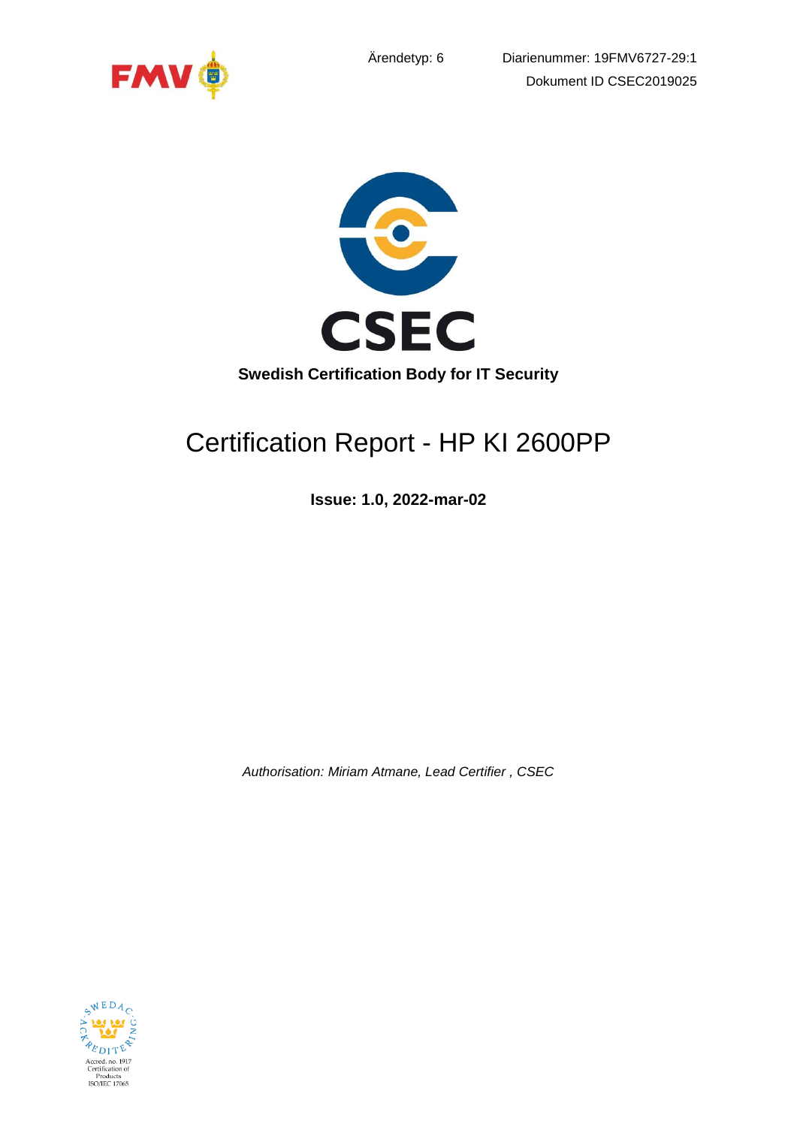





# Certification Report - HP KI 2600PP

**Issue: 1.0, 2022-mar-02**

*Authorisation: Miriam Atmane, Lead Certifier , CSEC*

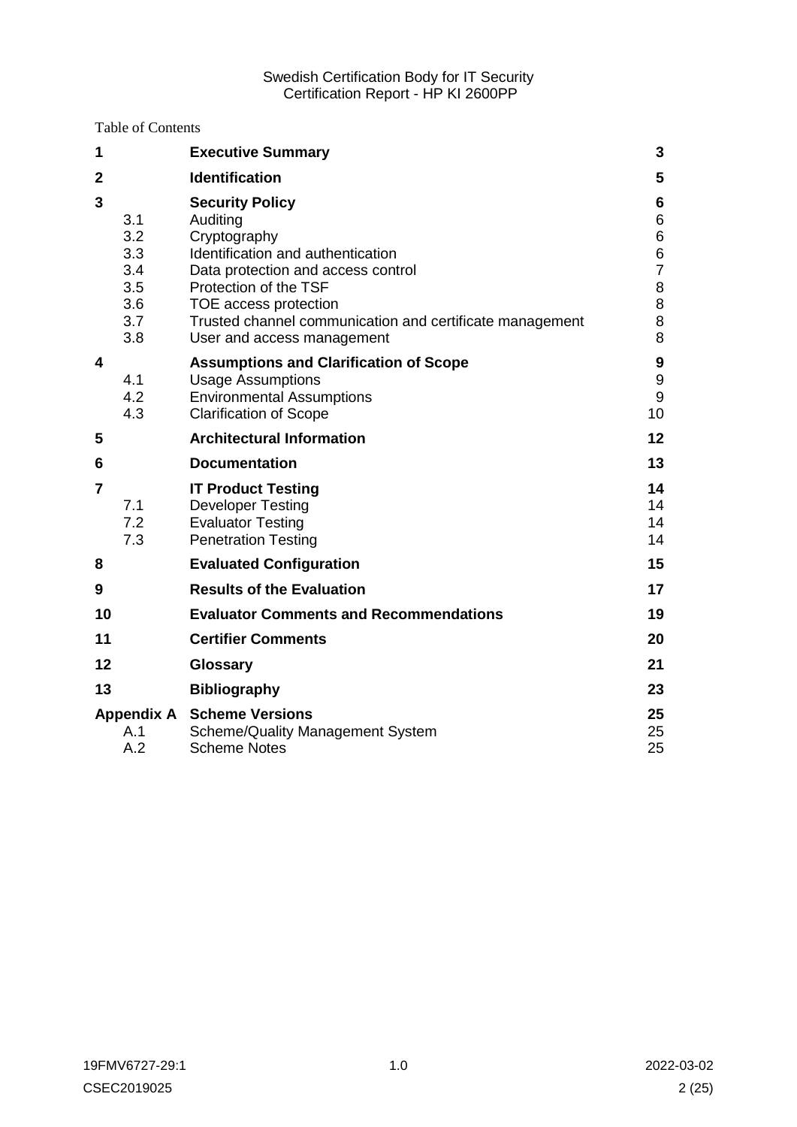Table of Contents

| 1              |                                                      | <b>Executive Summary</b>                                                                                                                                                                                                                                                  | 3                                         |
|----------------|------------------------------------------------------|---------------------------------------------------------------------------------------------------------------------------------------------------------------------------------------------------------------------------------------------------------------------------|-------------------------------------------|
| $\mathbf{2}$   |                                                      | <b>Identification</b>                                                                                                                                                                                                                                                     | 5                                         |
| 3              | 3.1<br>3.2<br>3.3<br>3.4<br>3.5<br>3.6<br>3.7<br>3.8 | <b>Security Policy</b><br>Auditing<br>Cryptography<br>Identification and authentication<br>Data protection and access control<br>Protection of the TSF<br>TOE access protection<br>Trusted channel communication and certificate management<br>User and access management | 6<br>6<br>6<br>6<br>7<br>8<br>8<br>8<br>8 |
| 4              | 4.1<br>4.2<br>4.3                                    | <b>Assumptions and Clarification of Scope</b><br><b>Usage Assumptions</b><br><b>Environmental Assumptions</b><br><b>Clarification of Scope</b>                                                                                                                            | 9<br>9<br>$\boldsymbol{9}$<br>10          |
| 5              |                                                      | <b>Architectural Information</b>                                                                                                                                                                                                                                          | 12                                        |
| 6              |                                                      | <b>Documentation</b>                                                                                                                                                                                                                                                      | 13                                        |
| $\overline{7}$ | 7.1<br>7.2<br>7.3                                    | <b>IT Product Testing</b><br><b>Developer Testing</b><br><b>Evaluator Testing</b><br><b>Penetration Testing</b>                                                                                                                                                           | 14<br>14<br>14<br>14                      |
| 8              |                                                      | <b>Evaluated Configuration</b>                                                                                                                                                                                                                                            | 15                                        |
| 9              |                                                      | <b>Results of the Evaluation</b>                                                                                                                                                                                                                                          | 17                                        |
| 10             |                                                      | <b>Evaluator Comments and Recommendations</b>                                                                                                                                                                                                                             | 19                                        |
| 11             |                                                      | <b>Certifier Comments</b>                                                                                                                                                                                                                                                 | 20                                        |
| 12             |                                                      | <b>Glossary</b>                                                                                                                                                                                                                                                           | 21                                        |
| 13             |                                                      | <b>Bibliography</b>                                                                                                                                                                                                                                                       | 23                                        |
|                | A.1<br>A.2                                           | <b>Appendix A</b> Scheme Versions<br><b>Scheme/Quality Management System</b><br><b>Scheme Notes</b>                                                                                                                                                                       | 25<br>25<br>25                            |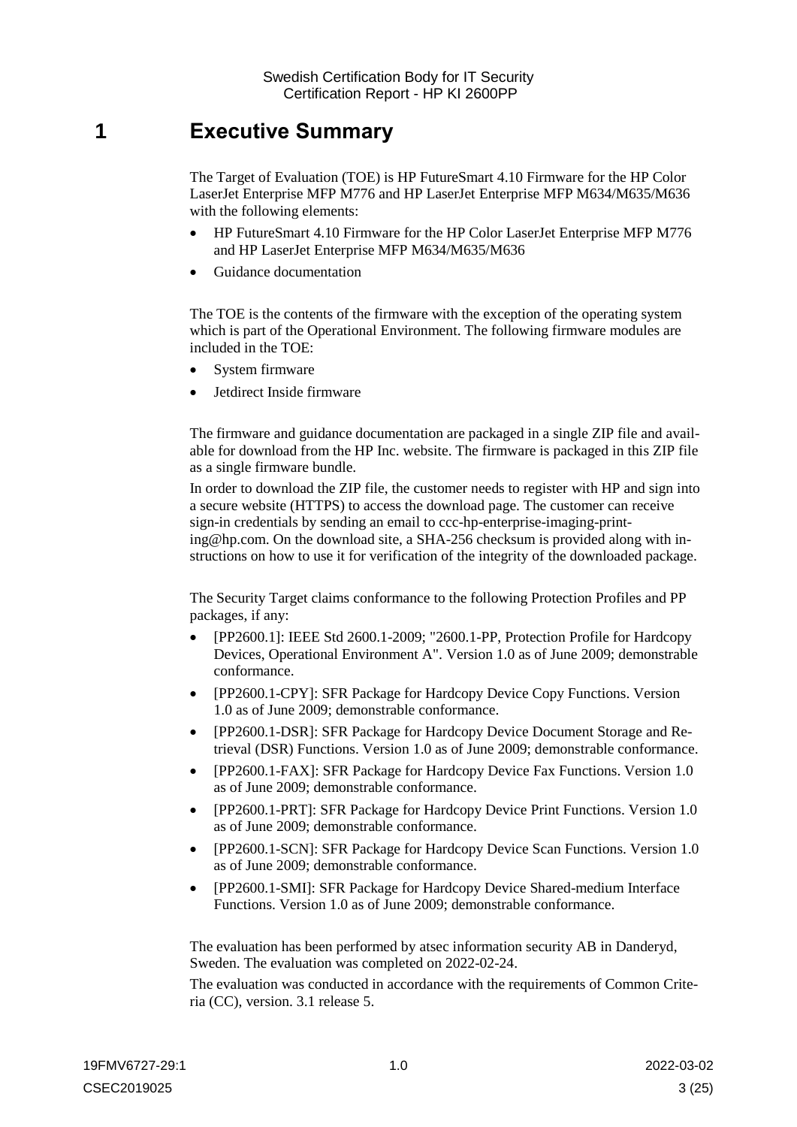## <span id="page-2-0"></span>**1 Executive Summary**

The Target of Evaluation (TOE) is HP FutureSmart 4.10 Firmware for the HP Color LaserJet Enterprise MFP M776 and HP LaserJet Enterprise MFP M634/M635/M636 with the following elements:

- HP FutureSmart 4.10 Firmware for the HP Color LaserJet Enterprise MFP M776 and HP LaserJet Enterprise MFP M634/M635/M636
- Guidance documentation

The TOE is the contents of the firmware with the exception of the operating system which is part of the Operational Environment. The following firmware modules are included in the TOE:

- System firmware
- Jetdirect Inside firmware

The firmware and guidance documentation are packaged in a single ZIP file and available for download from the HP Inc. website. The firmware is packaged in this ZIP file as a single firmware bundle.

In order to download the ZIP file, the customer needs to register with HP and sign into a secure website (HTTPS) to access the download page. The customer can receive sign-in credentials by sending an email to ccc-hp-enterprise-imaging-printing@hp.com. On the download site, a SHA-256 checksum is provided along with instructions on how to use it for verification of the integrity of the downloaded package.

The Security Target claims conformance to the following Protection Profiles and PP packages, if any:

- [PP2600.1]: IEEE Std 2600.1-2009; "2600.1-PP, Protection Profile for Hardcopy Devices, Operational Environment A". Version 1.0 as of June 2009; demonstrable conformance.
- [PP2600.1-CPY]: SFR Package for Hardcopy Device Copy Functions. Version 1.0 as of June 2009; demonstrable conformance.
- [PP2600.1-DSR]: SFR Package for Hardcopy Device Document Storage and Retrieval (DSR) Functions. Version 1.0 as of June 2009; demonstrable conformance.
- [PP2600.1-FAX]: SFR Package for Hardcopy Device Fax Functions. Version 1.0 as of June 2009; demonstrable conformance.
- [PP2600.1-PRT]: SFR Package for Hardcopy Device Print Functions. Version 1.0 as of June 2009; demonstrable conformance.
- [PP2600.1-SCN]: SFR Package for Hardcopy Device Scan Functions. Version 1.0 as of June 2009; demonstrable conformance.
- [PP2600.1-SMI]: SFR Package for Hardcopy Device Shared-medium Interface Functions. Version 1.0 as of June 2009; demonstrable conformance.

The evaluation has been performed by atsec information security AB in Danderyd, Sweden. The evaluation was completed on 2022-02-24.

The evaluation was conducted in accordance with the requirements of Common Criteria (CC), version. 3.1 release 5.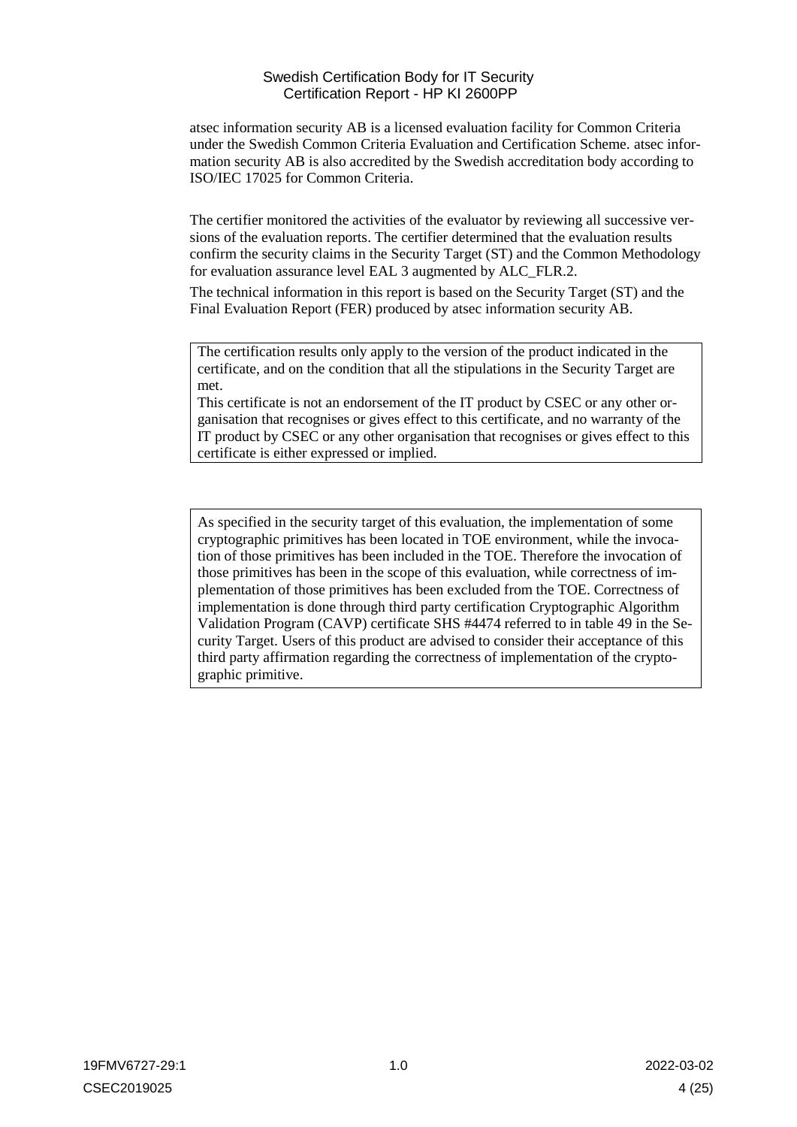atsec information security AB is a licensed evaluation facility for Common Criteria under the Swedish Common Criteria Evaluation and Certification Scheme. atsec information security AB is also accredited by the Swedish accreditation body according to ISO/IEC 17025 for Common Criteria.

The certifier monitored the activities of the evaluator by reviewing all successive versions of the evaluation reports. The certifier determined that the evaluation results confirm the security claims in the Security Target (ST) and the Common Methodology for evaluation assurance level EAL 3 augmented by ALC\_FLR.2.

The technical information in this report is based on the Security Target (ST) and the Final Evaluation Report (FER) produced by atsec information security AB.

The certification results only apply to the version of the product indicated in the certificate, and on the condition that all the stipulations in the Security Target are met.

This certificate is not an endorsement of the IT product by CSEC or any other organisation that recognises or gives effect to this certificate, and no warranty of the IT product by CSEC or any other organisation that recognises or gives effect to this certificate is either expressed or implied.

As specified in the security target of this evaluation, the implementation of some cryptographic primitives has been located in TOE environment, while the invocation of those primitives has been included in the TOE. Therefore the invocation of those primitives has been in the scope of this evaluation, while correctness of implementation of those primitives has been excluded from the TOE. Correctness of implementation is done through third party certification Cryptographic Algorithm Validation Program (CAVP) certificate SHS #4474 referred to in table 49 in the Security Target. Users of this product are advised to consider their acceptance of this third party affirmation regarding the correctness of implementation of the cryptographic primitive.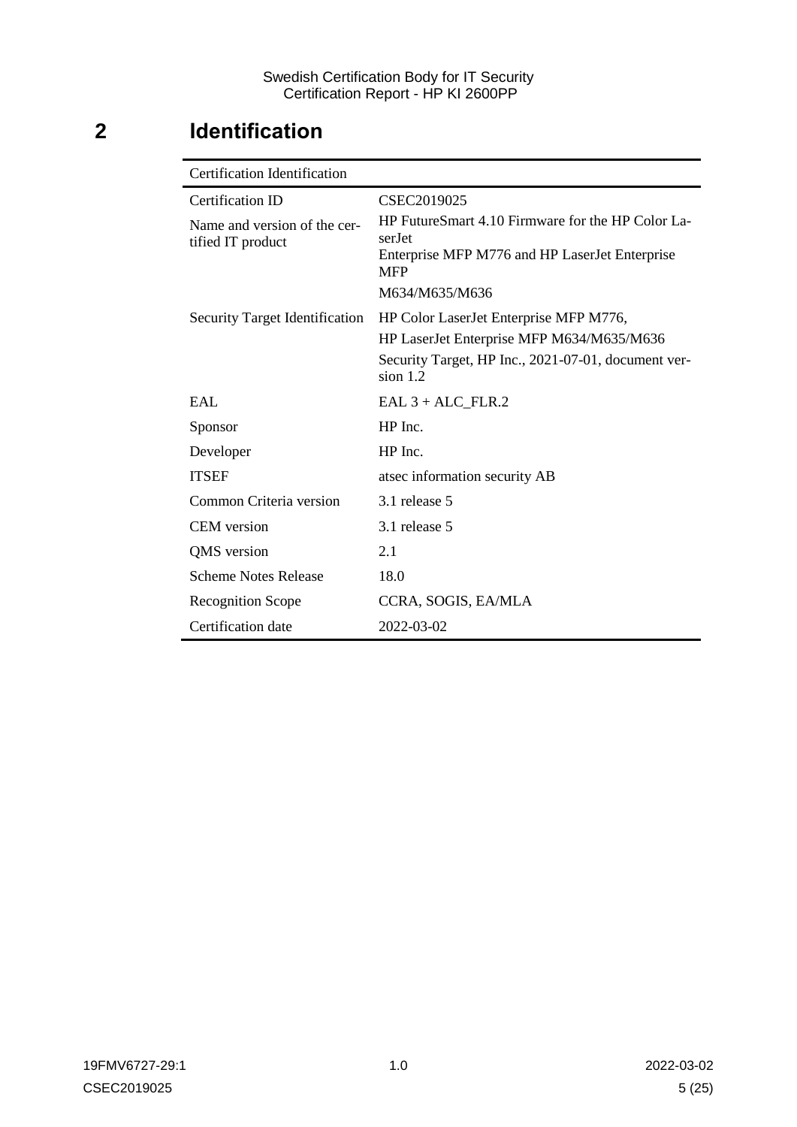# <span id="page-4-0"></span>**2 Identification**

| <b>Certification Identification</b>               |                                                                                                                                                          |  |  |
|---------------------------------------------------|----------------------------------------------------------------------------------------------------------------------------------------------------------|--|--|
| Certification ID                                  | CSEC2019025                                                                                                                                              |  |  |
| Name and version of the cer-<br>tified IT product | HP FutureSmart 4.10 Firmware for the HP Color La-<br>serJet<br>Enterprise MFP M776 and HP LaserJet Enterprise<br><b>MFP</b><br>M634/M635/M636            |  |  |
| <b>Security Target Identification</b>             | HP Color LaserJet Enterprise MFP M776,<br>HP LaserJet Enterprise MFP M634/M635/M636<br>Security Target, HP Inc., 2021-07-01, document ver-<br>sion $1.2$ |  |  |
| EAI.                                              | $EAL 3 + ALC$ FLR.2                                                                                                                                      |  |  |
| Sponsor                                           | $HP$ Inc.                                                                                                                                                |  |  |
| Developer                                         | HP Inc.                                                                                                                                                  |  |  |
| <b>ITSEF</b>                                      | atsec information security AB                                                                                                                            |  |  |
| Common Criteria version                           | 3.1 release 5                                                                                                                                            |  |  |
| <b>CEM</b> version                                | 3.1 release 5                                                                                                                                            |  |  |
| QMS version                                       | 2.1                                                                                                                                                      |  |  |
| <b>Scheme Notes Release</b>                       | 18.0                                                                                                                                                     |  |  |
| <b>Recognition Scope</b>                          | CCRA, SOGIS, EA/MLA                                                                                                                                      |  |  |
| Certification date                                | 2022-03-02                                                                                                                                               |  |  |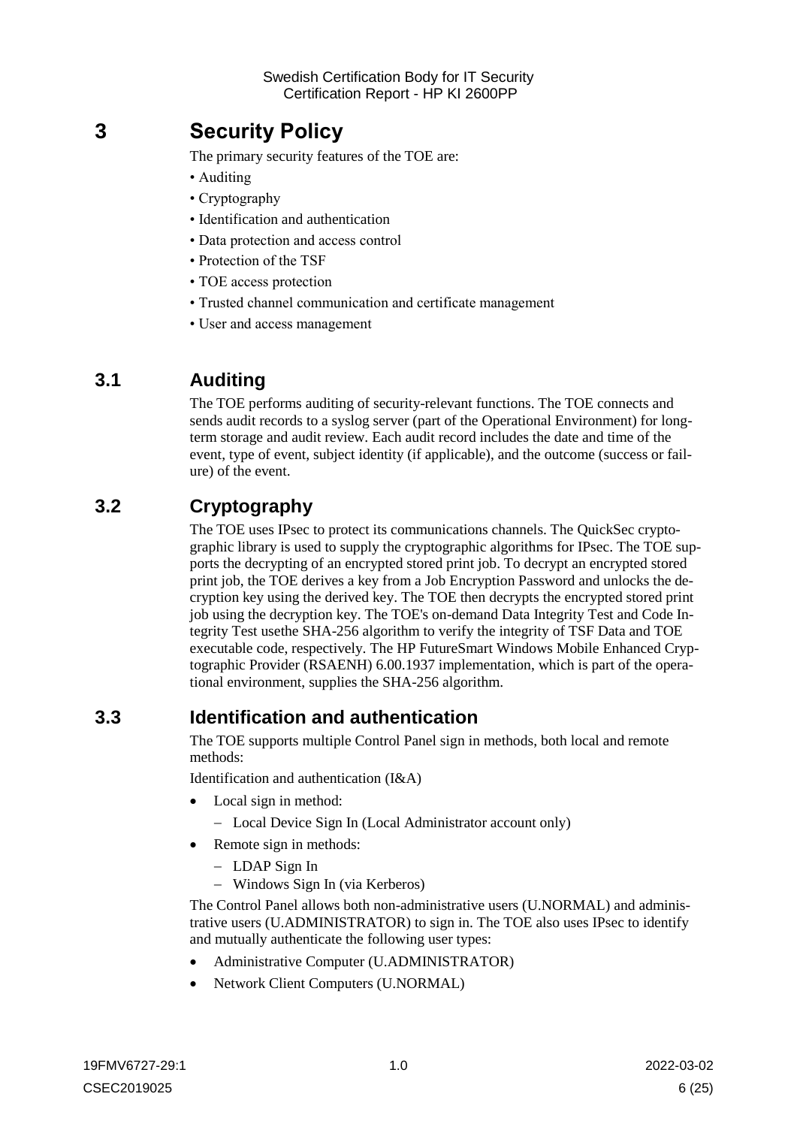## <span id="page-5-0"></span>**3 Security Policy**

The primary security features of the TOE are:

- Auditing
- Cryptography
- Identification and authentication
- Data protection and access control
- Protection of the TSF
- TOE access protection
- Trusted channel communication and certificate management
- User and access management

### <span id="page-5-1"></span>**3.1 Auditing**

The TOE performs auditing of security-relevant functions. The TOE connects and sends audit records to a syslog server (part of the Operational Environment) for longterm storage and audit review. Each audit record includes the date and time of the event, type of event, subject identity (if applicable), and the outcome (success or failure) of the event.

### <span id="page-5-2"></span>**3.2 Cryptography**

The TOE uses IPsec to protect its communications channels. The QuickSec cryptographic library is used to supply the cryptographic algorithms for IPsec. The TOE supports the decrypting of an encrypted stored print job. To decrypt an encrypted stored print job, the TOE derives a key from a Job Encryption Password and unlocks the decryption key using the derived key. The TOE then decrypts the encrypted stored print job using the decryption key. The TOE's on-demand Data Integrity Test and Code Integrity Test usethe SHA-256 algorithm to verify the integrity of TSF Data and TOE executable code, respectively. The HP FutureSmart Windows Mobile Enhanced Cryptographic Provider (RSAENH) 6.00.1937 implementation, which is part of the operational environment, supplies the SHA-256 algorithm.

### <span id="page-5-3"></span>**3.3 Identification and authentication**

The TOE supports multiple Control Panel sign in methods, both local and remote methods:

Identification and authentication (I&A)

- Local sign in method:
	- Local Device Sign In (Local Administrator account only)
- Remote sign in methods:
	- LDAP Sign In
	- Windows Sign In (via Kerberos)

The Control Panel allows both non-administrative users (U.NORMAL) and administrative users (U.ADMINISTRATOR) to sign in. The TOE also uses IPsec to identify and mutually authenticate the following user types:

- Administrative Computer (U.ADMINISTRATOR)
- Network Client Computers (U.NORMAL)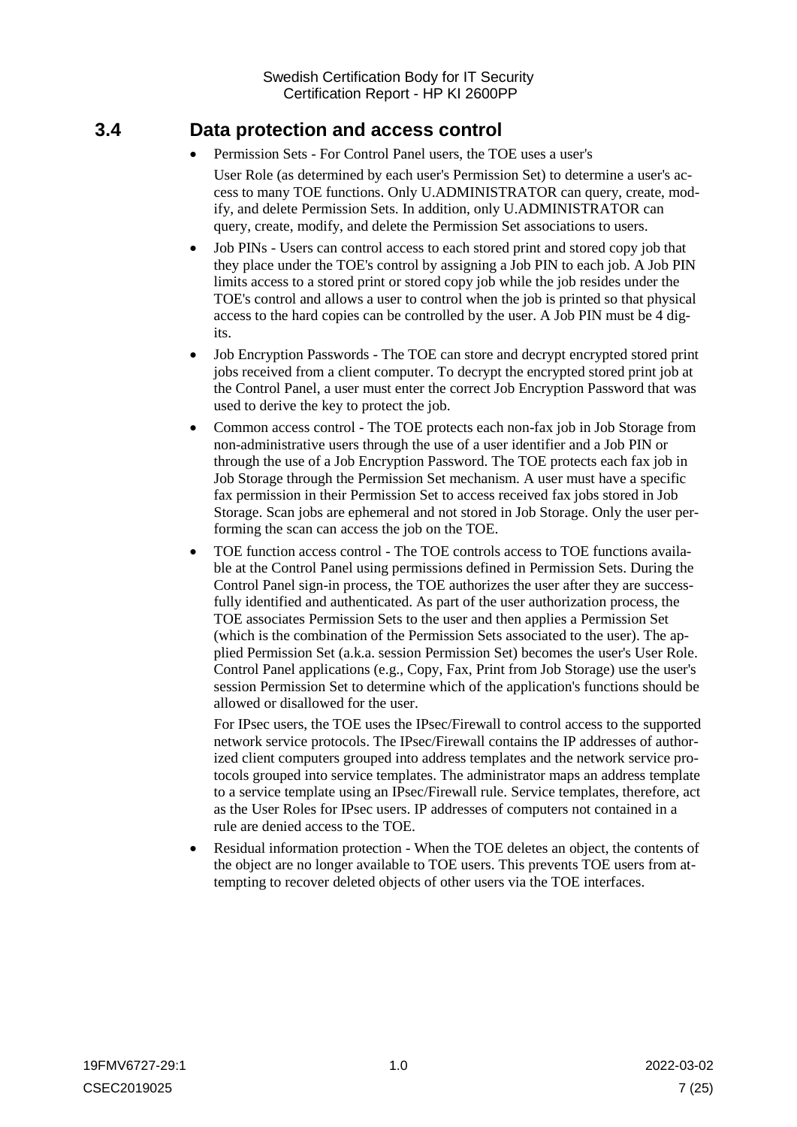### <span id="page-6-0"></span>**3.4 Data protection and access control**

- Permission Sets For Control Panel users, the TOE uses a user's User Role (as determined by each user's Permission Set) to determine a user's access to many TOE functions. Only U.ADMINISTRATOR can query, create, modify, and delete Permission Sets. In addition, only U.ADMINISTRATOR can query, create, modify, and delete the Permission Set associations to users.
- Job PINs Users can control access to each stored print and stored copy job that they place under the TOE's control by assigning a Job PIN to each job. A Job PIN limits access to a stored print or stored copy job while the job resides under the TOE's control and allows a user to control when the job is printed so that physical access to the hard copies can be controlled by the user. A Job PIN must be 4 digits.
- Job Encryption Passwords The TOE can store and decrypt encrypted stored print jobs received from a client computer. To decrypt the encrypted stored print job at the Control Panel, a user must enter the correct Job Encryption Password that was used to derive the key to protect the job.
- Common access control The TOE protects each non-fax job in Job Storage from non-administrative users through the use of a user identifier and a Job PIN or through the use of a Job Encryption Password. The TOE protects each fax job in Job Storage through the Permission Set mechanism. A user must have a specific fax permission in their Permission Set to access received fax jobs stored in Job Storage. Scan jobs are ephemeral and not stored in Job Storage. Only the user performing the scan can access the job on the TOE.
- TOE function access control The TOE controls access to TOE functions available at the Control Panel using permissions defined in Permission Sets. During the Control Panel sign-in process, the TOE authorizes the user after they are successfully identified and authenticated. As part of the user authorization process, the TOE associates Permission Sets to the user and then applies a Permission Set (which is the combination of the Permission Sets associated to the user). The applied Permission Set (a.k.a. session Permission Set) becomes the user's User Role. Control Panel applications (e.g., Copy, Fax, Print from Job Storage) use the user's session Permission Set to determine which of the application's functions should be allowed or disallowed for the user.

For IPsec users, the TOE uses the IPsec/Firewall to control access to the supported network service protocols. The IPsec/Firewall contains the IP addresses of authorized client computers grouped into address templates and the network service protocols grouped into service templates. The administrator maps an address template to a service template using an IPsec/Firewall rule. Service templates, therefore, act as the User Roles for IPsec users. IP addresses of computers not contained in a rule are denied access to the TOE.

 Residual information protection - When the TOE deletes an object, the contents of the object are no longer available to TOE users. This prevents TOE users from attempting to recover deleted objects of other users via the TOE interfaces.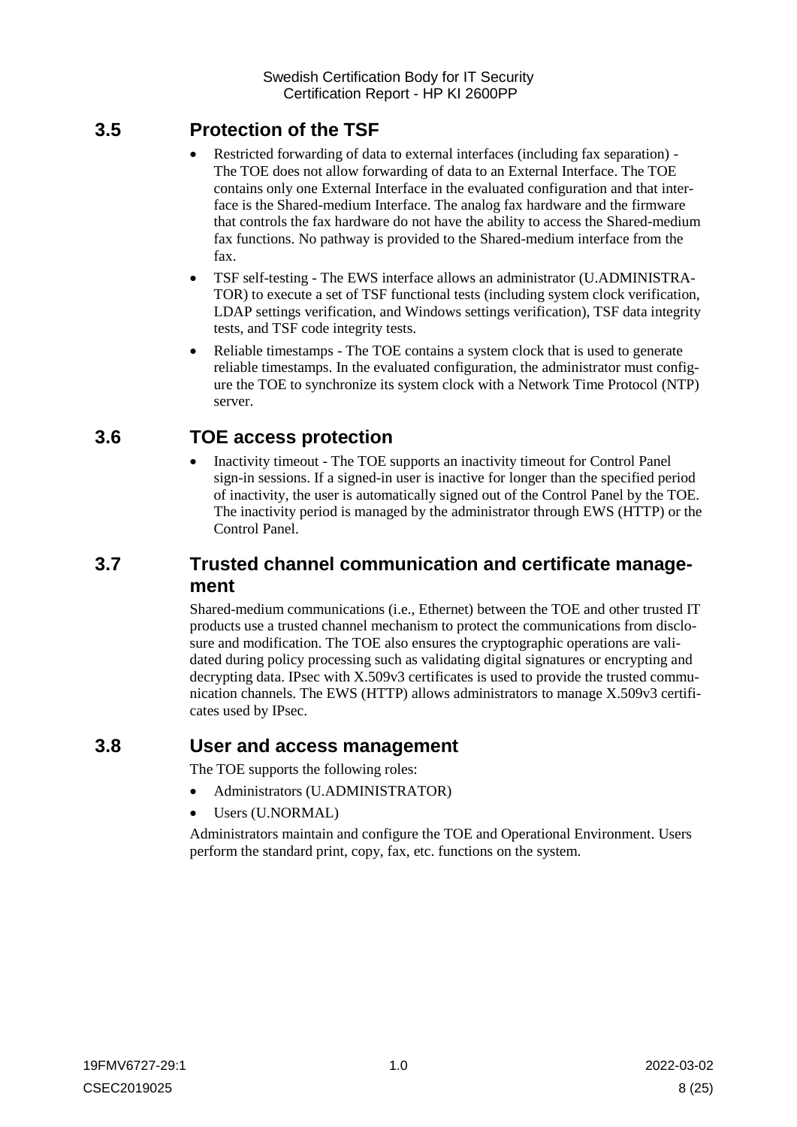### <span id="page-7-0"></span>**3.5 Protection of the TSF**

- Restricted forwarding of data to external interfaces (including fax separation) The TOE does not allow forwarding of data to an External Interface. The TOE contains only one External Interface in the evaluated configuration and that interface is the Shared-medium Interface. The analog fax hardware and the firmware that controls the fax hardware do not have the ability to access the Shared-medium fax functions. No pathway is provided to the Shared-medium interface from the fax.
- TSF self-testing The EWS interface allows an administrator (U.ADMINISTRA-TOR) to execute a set of TSF functional tests (including system clock verification, LDAP settings verification, and Windows settings verification), TSF data integrity tests, and TSF code integrity tests.
- Reliable timestamps The TOE contains a system clock that is used to generate reliable timestamps. In the evaluated configuration, the administrator must configure the TOE to synchronize its system clock with a Network Time Protocol (NTP) server.

### <span id="page-7-1"></span>**3.6 TOE access protection**

 Inactivity timeout - The TOE supports an inactivity timeout for Control Panel sign-in sessions. If a signed-in user is inactive for longer than the specified period of inactivity, the user is automatically signed out of the Control Panel by the TOE. The inactivity period is managed by the administrator through EWS (HTTP) or the Control Panel.

### <span id="page-7-2"></span>**3.7 Trusted channel communication and certificate management**

Shared-medium communications (i.e., Ethernet) between the TOE and other trusted IT products use a trusted channel mechanism to protect the communications from disclosure and modification. The TOE also ensures the cryptographic operations are validated during policy processing such as validating digital signatures or encrypting and decrypting data. IPsec with X.509v3 certificates is used to provide the trusted communication channels. The EWS (HTTP) allows administrators to manage X.509v3 certificates used by IPsec.

### <span id="page-7-3"></span>**3.8 User and access management**

The TOE supports the following roles:

- Administrators (U.ADMINISTRATOR)
- Users (U.NORMAL)

Administrators maintain and configure the TOE and Operational Environment. Users perform the standard print, copy, fax, etc. functions on the system.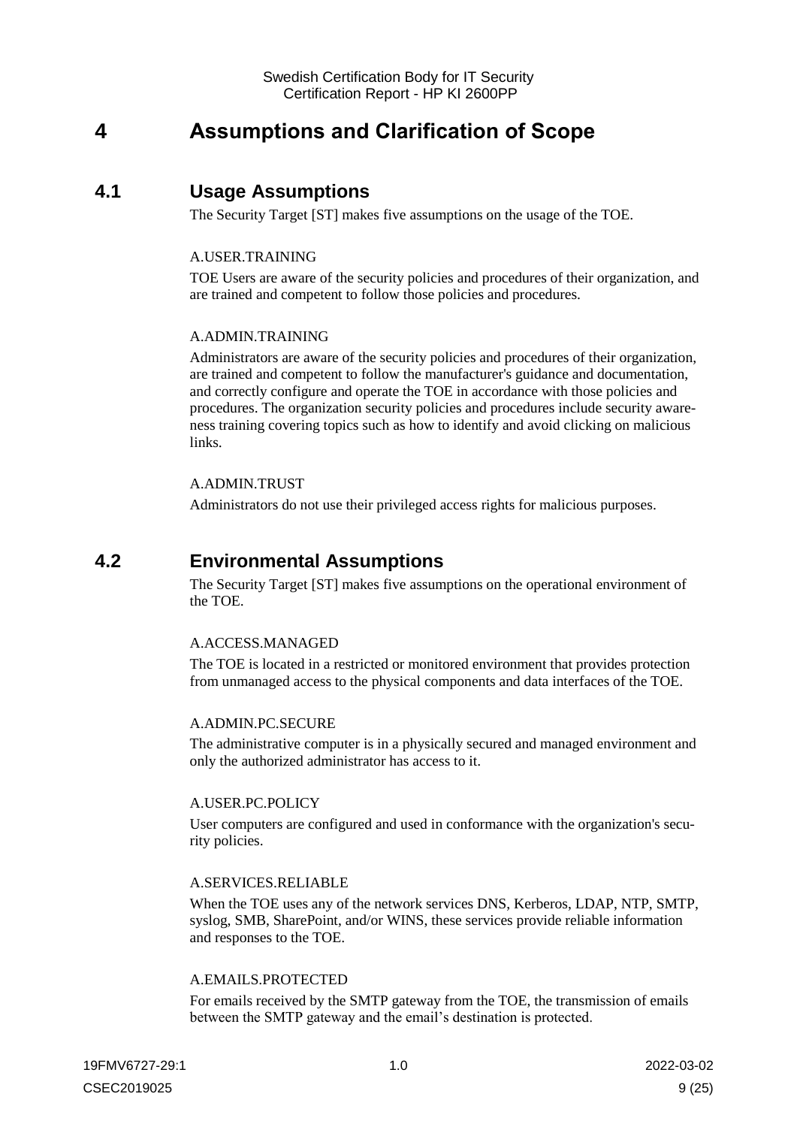## <span id="page-8-0"></span>**4 Assumptions and Clarification of Scope**

### <span id="page-8-1"></span>**4.1 Usage Assumptions**

The Security Target [ST] makes five assumptions on the usage of the TOE.

#### A.USER.TRAINING

TOE Users are aware of the security policies and procedures of their organization, and are trained and competent to follow those policies and procedures.

#### A.ADMIN.TRAINING

Administrators are aware of the security policies and procedures of their organization, are trained and competent to follow the manufacturer's guidance and documentation, and correctly configure and operate the TOE in accordance with those policies and procedures. The organization security policies and procedures include security awareness training covering topics such as how to identify and avoid clicking on malicious links.

#### A.ADMIN.TRUST

Administrators do not use their privileged access rights for malicious purposes.

### <span id="page-8-2"></span>**4.2 Environmental Assumptions**

The Security Target [ST] makes five assumptions on the operational environment of the TOE.

#### A.ACCESS.MANAGED

The TOE is located in a restricted or monitored environment that provides protection from unmanaged access to the physical components and data interfaces of the TOE.

#### A.ADMIN.PC.SECURE

The administrative computer is in a physically secured and managed environment and only the authorized administrator has access to it.

#### A.USER.PC.POLICY

User computers are configured and used in conformance with the organization's security policies.

#### A.SERVICES.RELIABLE

When the TOE uses any of the network services DNS, Kerberos, LDAP, NTP, SMTP, syslog, SMB, SharePoint, and/or WINS, these services provide reliable information and responses to the TOE.

#### A.EMAILS.PROTECTED

For emails received by the SMTP gateway from the TOE, the transmission of emails between the SMTP gateway and the email's destination is protected.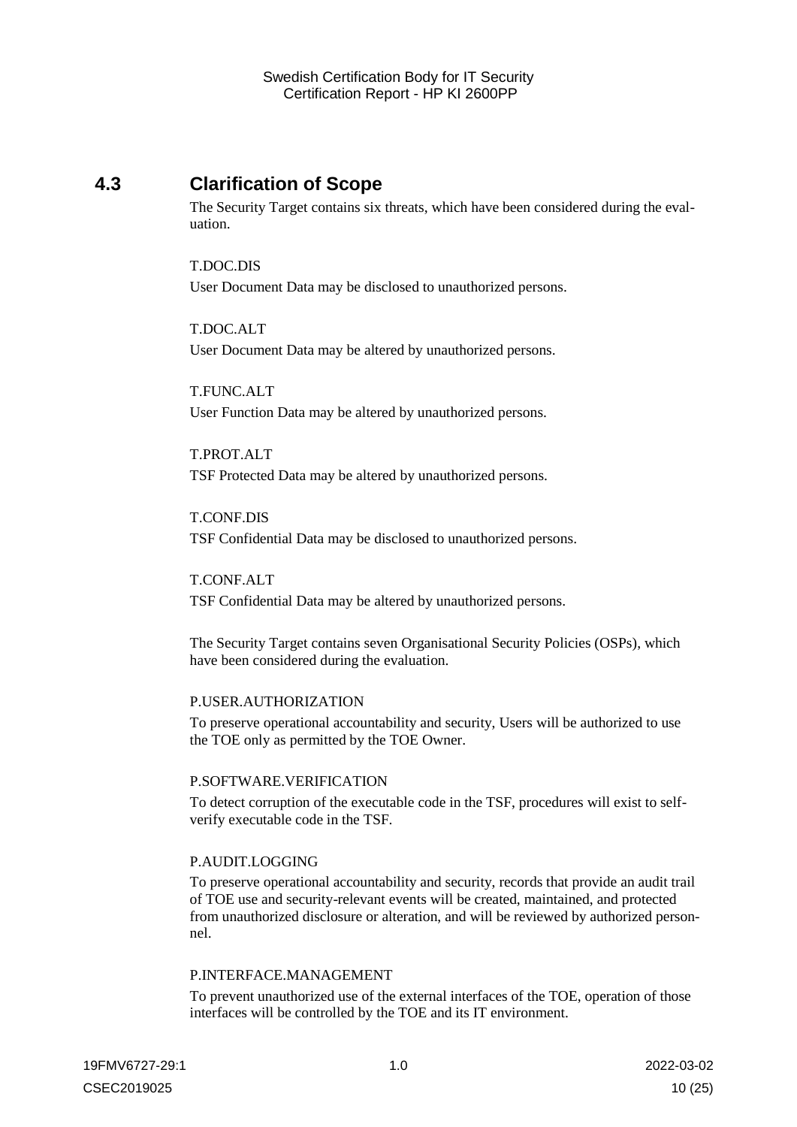### <span id="page-9-0"></span>**4.3 Clarification of Scope**

The Security Target contains six threats, which have been considered during the evaluation.

T.DOC.DIS User Document Data may be disclosed to unauthorized persons.

#### T.DOC.ALT

User Document Data may be altered by unauthorized persons.

T.FUNC.ALT User Function Data may be altered by unauthorized persons.

T.PROT.ALT TSF Protected Data may be altered by unauthorized persons.

T.CONF.DIS TSF Confidential Data may be disclosed to unauthorized persons.

T.CONF.ALT TSF Confidential Data may be altered by unauthorized persons.

The Security Target contains seven Organisational Security Policies (OSPs), which have been considered during the evaluation.

#### P.USER.AUTHORIZATION

To preserve operational accountability and security, Users will be authorized to use the TOE only as permitted by the TOE Owner.

#### P.SOFTWARE.VERIFICATION

To detect corruption of the executable code in the TSF, procedures will exist to selfverify executable code in the TSF.

#### P.AUDIT.LOGGING

To preserve operational accountability and security, records that provide an audit trail of TOE use and security-relevant events will be created, maintained, and protected from unauthorized disclosure or alteration, and will be reviewed by authorized personnel.

#### P.INTERFACE.MANAGEMENT

To prevent unauthorized use of the external interfaces of the TOE, operation of those interfaces will be controlled by the TOE and its IT environment.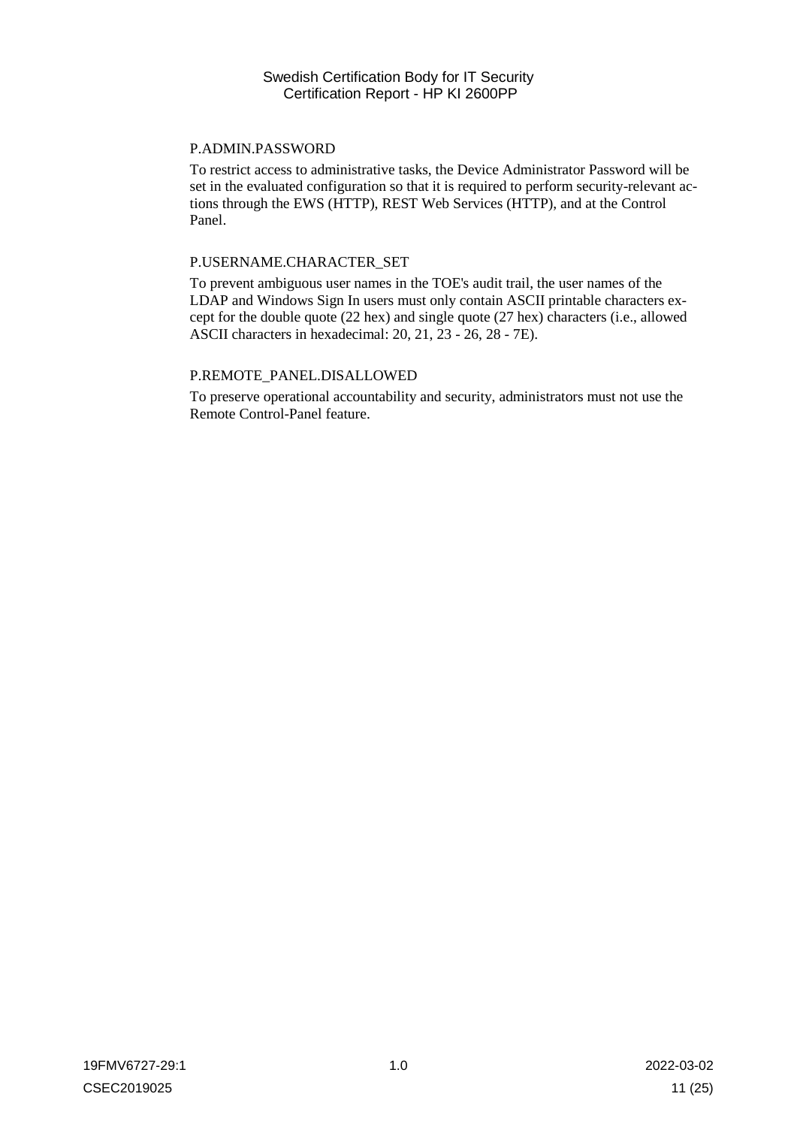#### P.ADMIN.PASSWORD

To restrict access to administrative tasks, the Device Administrator Password will be set in the evaluated configuration so that it is required to perform security-relevant actions through the EWS (HTTP), REST Web Services (HTTP), and at the Control Panel.

#### P.USERNAME.CHARACTER\_SET

To prevent ambiguous user names in the TOE's audit trail, the user names of the LDAP and Windows Sign In users must only contain ASCII printable characters except for the double quote (22 hex) and single quote (27 hex) characters (i.e., allowed ASCII characters in hexadecimal: 20, 21, 23 - 26, 28 - 7E).

#### P.REMOTE\_PANEL.DISALLOWED

To preserve operational accountability and security, administrators must not use the Remote Control-Panel feature.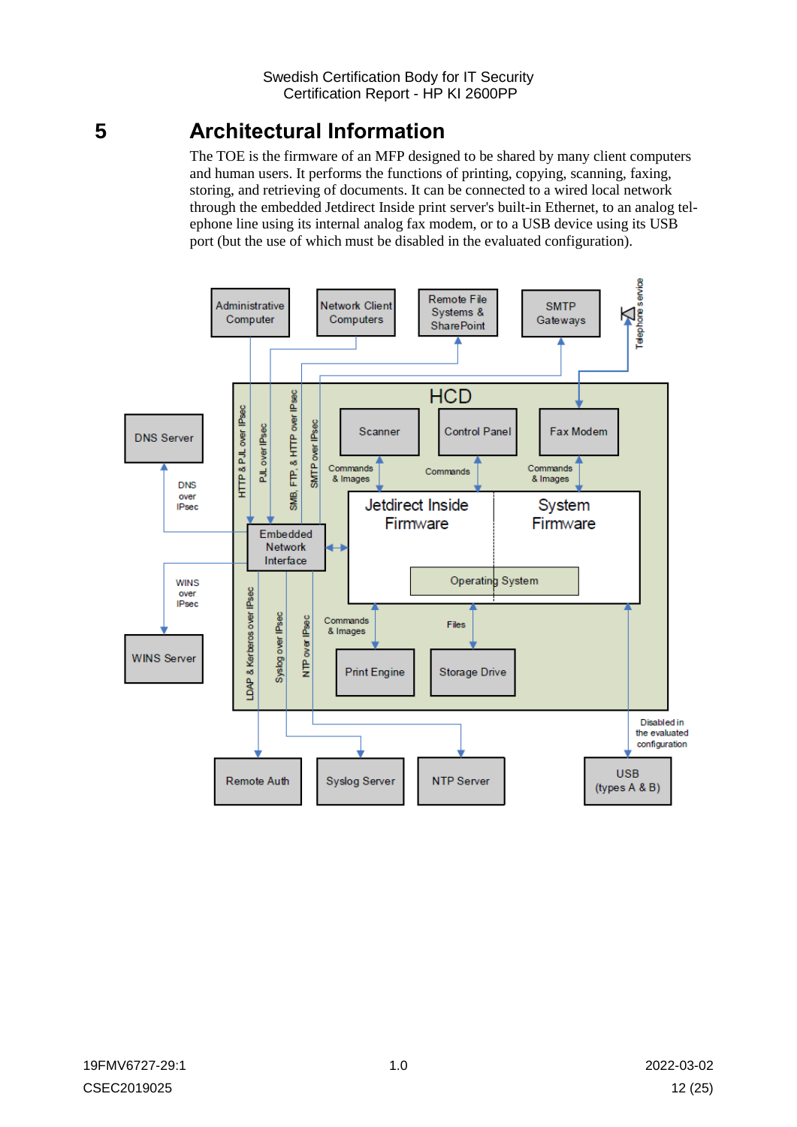## <span id="page-11-0"></span>**5 Architectural Information**

The TOE is the firmware of an MFP designed to be shared by many client computers and human users. It performs the functions of printing, copying, scanning, faxing, storing, and retrieving of documents. It can be connected to a wired local network through the embedded Jetdirect Inside print server's built-in Ethernet, to an analog telephone line using its internal analog fax modem, or to a USB device using its USB port (but the use of which must be disabled in the evaluated configuration).

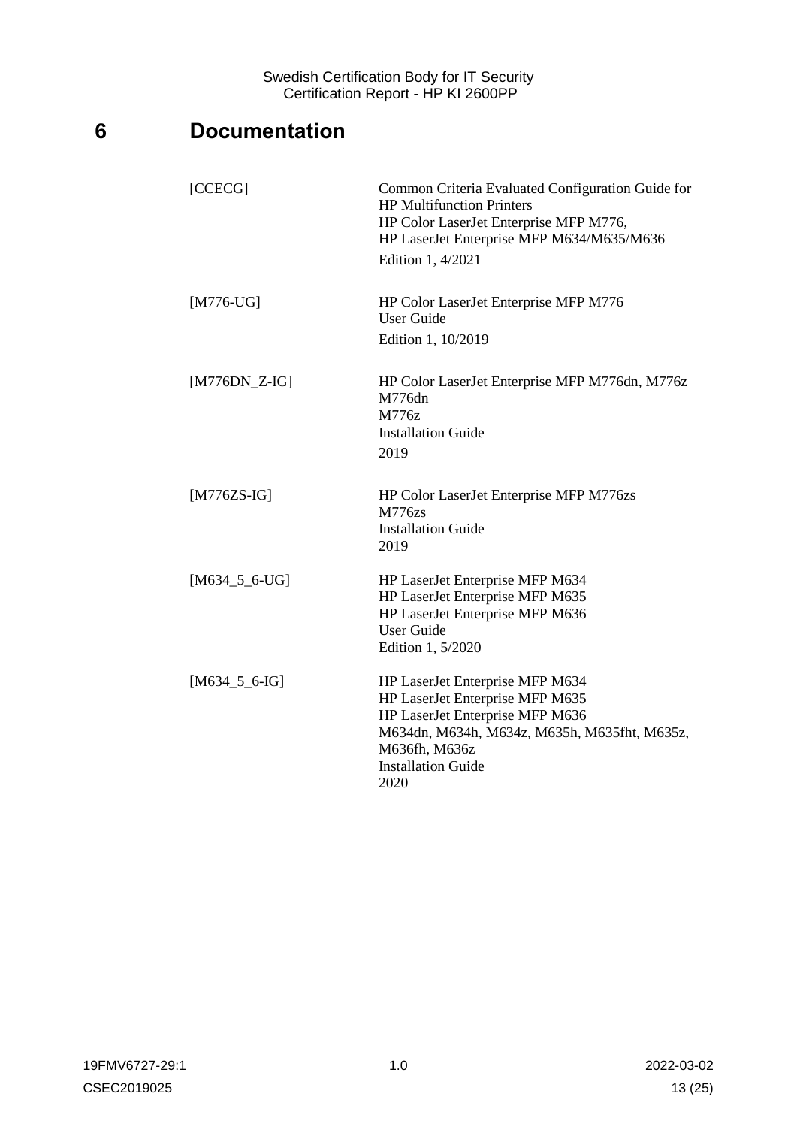## <span id="page-12-0"></span>**6 Documentation**

| [CCECG]         | Common Criteria Evaluated Configuration Guide for<br><b>HP Multifunction Printers</b><br>HP Color LaserJet Enterprise MFP M776,<br>HP LaserJet Enterprise MFP M634/M635/M636<br>Edition 1, 4/2021           |
|-----------------|-------------------------------------------------------------------------------------------------------------------------------------------------------------------------------------------------------------|
| $[M776-UG]$     | HP Color LaserJet Enterprise MFP M776<br><b>User Guide</b><br>Edition 1, 10/2019                                                                                                                            |
| $[M776DN_Z-G]$  | HP Color LaserJet Enterprise MFP M776dn, M776z<br>M776dn<br>M776z<br><b>Installation Guide</b><br>2019                                                                                                      |
| $[M776ZS-IG]$   | HP Color LaserJet Enterprise MFP M776zs<br><b>M776zs</b><br><b>Installation Guide</b><br>2019                                                                                                               |
| $[M634_5_6-UG]$ | HP LaserJet Enterprise MFP M634<br>HP LaserJet Enterprise MFP M635<br>HP LaserJet Enterprise MFP M636<br><b>User Guide</b><br>Edition 1, 5/2020                                                             |
| $[M634_5_6-IG]$ | HP LaserJet Enterprise MFP M634<br>HP LaserJet Enterprise MFP M635<br>HP LaserJet Enterprise MFP M636<br>M634dn, M634h, M634z, M635h, M635fht, M635z,<br>M636fh, M636z<br><b>Installation Guide</b><br>2020 |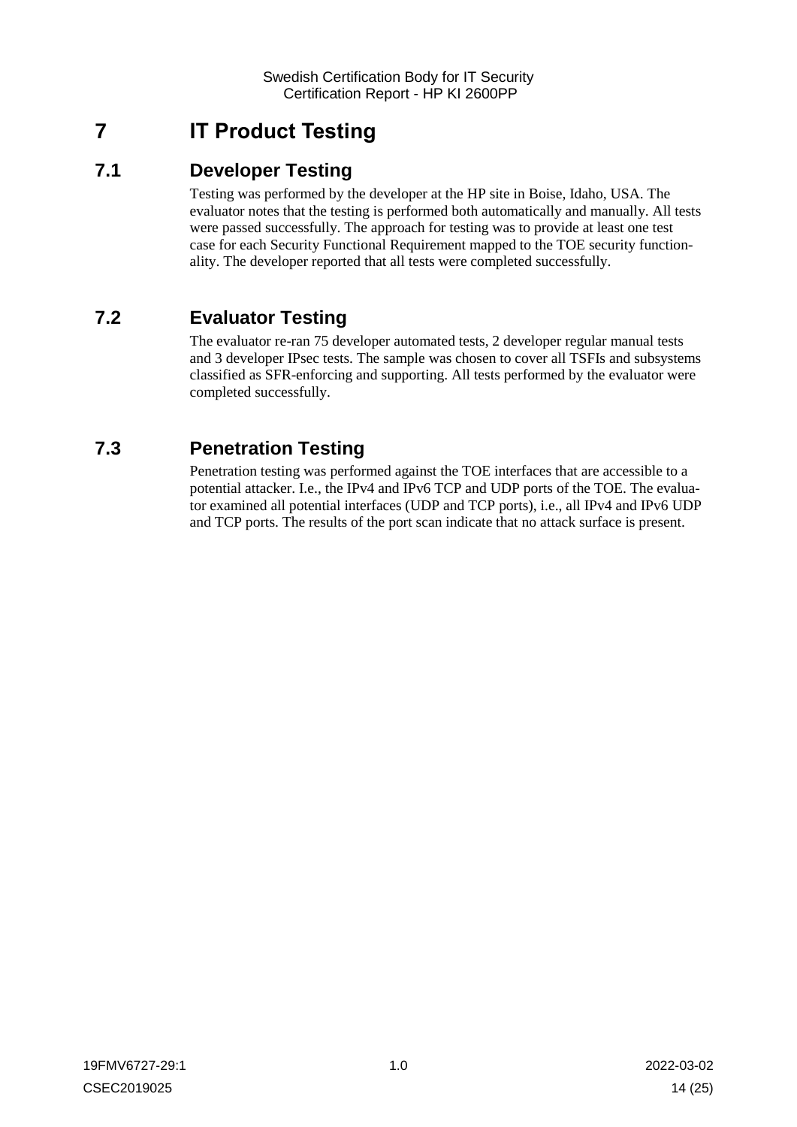## <span id="page-13-0"></span>**7 IT Product Testing**

## <span id="page-13-1"></span>**7.1 Developer Testing**

Testing was performed by the developer at the HP site in Boise, Idaho, USA. The evaluator notes that the testing is performed both automatically and manually. All tests were passed successfully. The approach for testing was to provide at least one test case for each Security Functional Requirement mapped to the TOE security functionality. The developer reported that all tests were completed successfully.

## <span id="page-13-2"></span>**7.2 Evaluator Testing**

The evaluator re-ran 75 developer automated tests, 2 developer regular manual tests and 3 developer IPsec tests. The sample was chosen to cover all TSFIs and subsystems classified as SFR-enforcing and supporting. All tests performed by the evaluator were completed successfully.

## <span id="page-13-3"></span>**7.3 Penetration Testing**

Penetration testing was performed against the TOE interfaces that are accessible to a potential attacker. I.e., the IPv4 and IPv6 TCP and UDP ports of the TOE. The evaluator examined all potential interfaces (UDP and TCP ports), i.e., all IPv4 and IPv6 UDP and TCP ports. The results of the port scan indicate that no attack surface is present.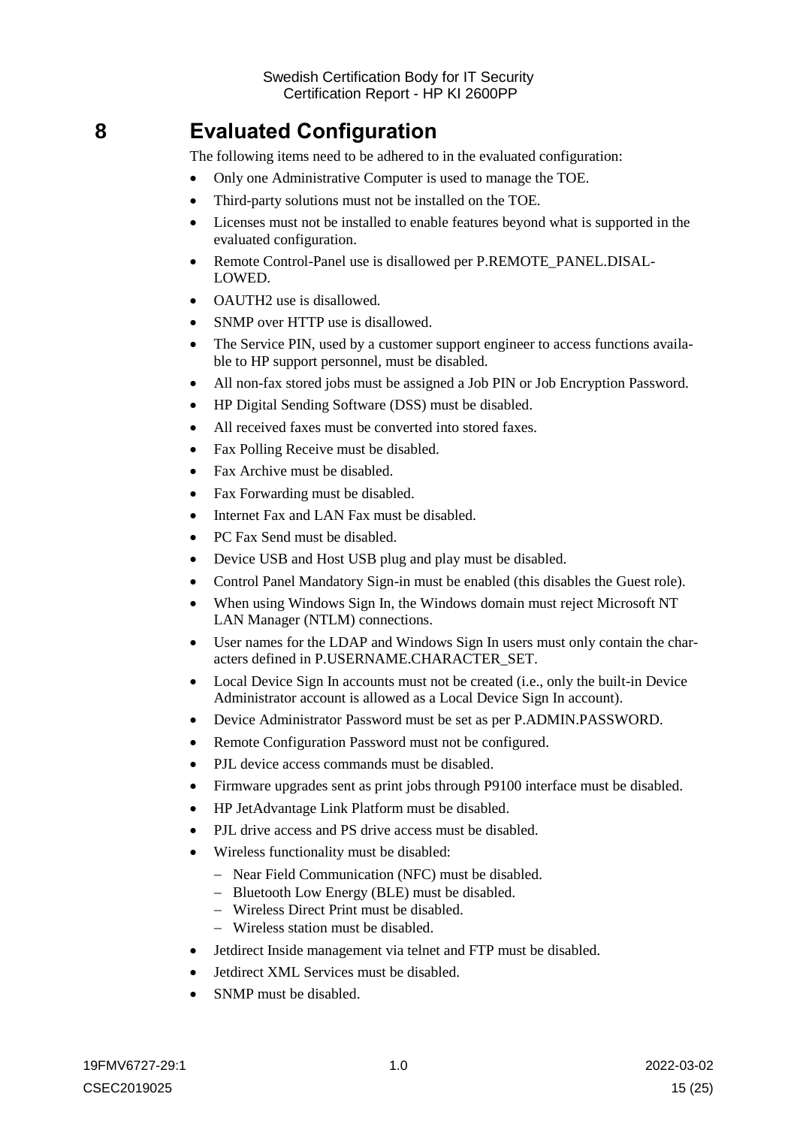## <span id="page-14-0"></span>**8 Evaluated Configuration**

The following items need to be adhered to in the evaluated configuration:

- Only one Administrative Computer is used to manage the TOE.
- Third-party solutions must not be installed on the TOE.
- Licenses must not be installed to enable features beyond what is supported in the evaluated configuration.
- Remote Control-Panel use is disallowed per P.REMOTE\_PANEL.DISAL-LOWED.
- OAUTH<sub>2</sub> use is disallowed.
- SNMP over HTTP use is disallowed.
- The Service PIN, used by a customer support engineer to access functions available to HP support personnel, must be disabled.
- All non-fax stored jobs must be assigned a Job PIN or Job Encryption Password.
- HP Digital Sending Software (DSS) must be disabled.
- All received faxes must be converted into stored faxes.
- Fax Polling Receive must be disabled.
- Fax Archive must be disabled.
- Fax Forwarding must be disabled.
- Internet Fax and LAN Fax must be disabled.
- PC Fax Send must be disabled.
- Device USB and Host USB plug and play must be disabled.
- Control Panel Mandatory Sign-in must be enabled (this disables the Guest role).
- When using Windows Sign In, the Windows domain must reject Microsoft NT LAN Manager (NTLM) connections.
- User names for the LDAP and Windows Sign In users must only contain the characters defined in P.USERNAME.CHARACTER\_SET.
- Local Device Sign In accounts must not be created (i.e., only the built-in Device Administrator account is allowed as a Local Device Sign In account).
- Device Administrator Password must be set as per P.ADMIN.PASSWORD.
- Remote Configuration Password must not be configured.
- PJL device access commands must be disabled.
- Firmware upgrades sent as print jobs through P9100 interface must be disabled.
- HP JetAdvantage Link Platform must be disabled.
- PJL drive access and PS drive access must be disabled.
- Wireless functionality must be disabled:
	- Near Field Communication (NFC) must be disabled.
	- Bluetooth Low Energy (BLE) must be disabled.
	- Wireless Direct Print must be disabled.
	- Wireless station must be disabled.
- Jetdirect Inside management via telnet and FTP must be disabled.
- Jetdirect XML Services must be disabled.
- SNMP must be disabled.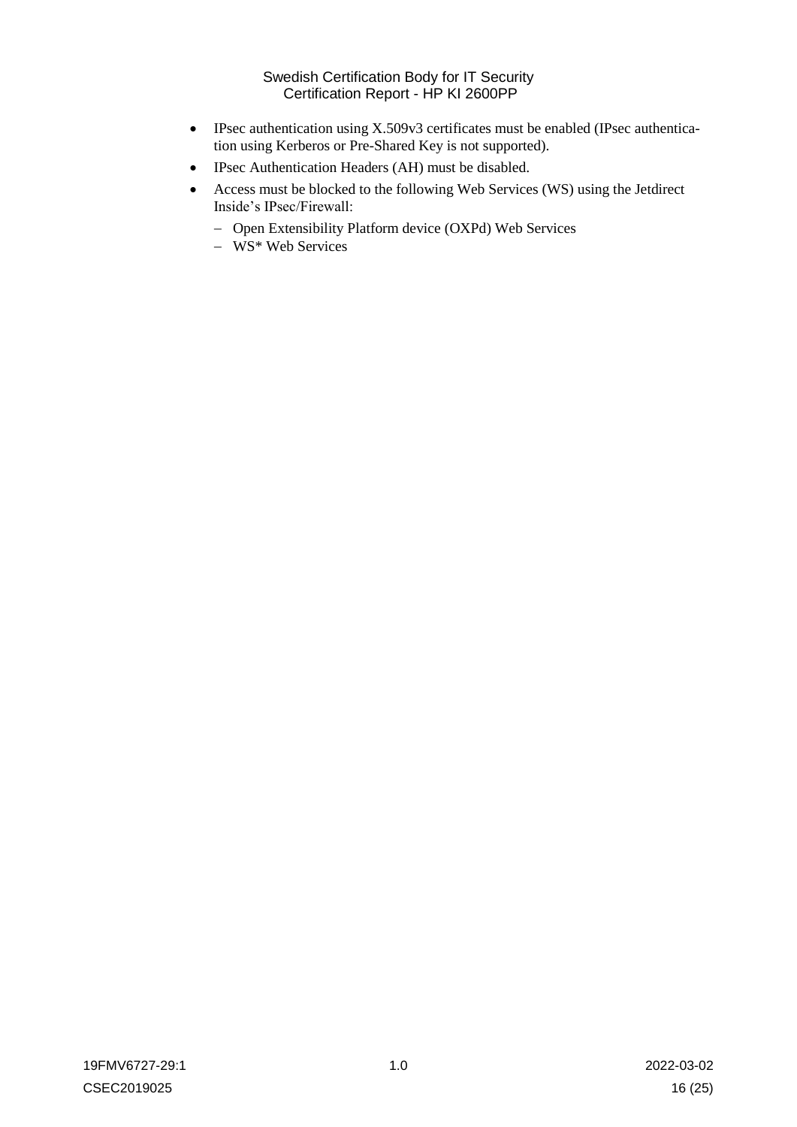- IPsec authentication using X.509v3 certificates must be enabled (IPsec authentication using Kerberos or Pre-Shared Key is not supported).
- IPsec Authentication Headers (AH) must be disabled.
- Access must be blocked to the following Web Services (WS) using the Jetdirect Inside's IPsec/Firewall:
	- Open Extensibility Platform device (OXPd) Web Services
	- $-$  WS\* Web Services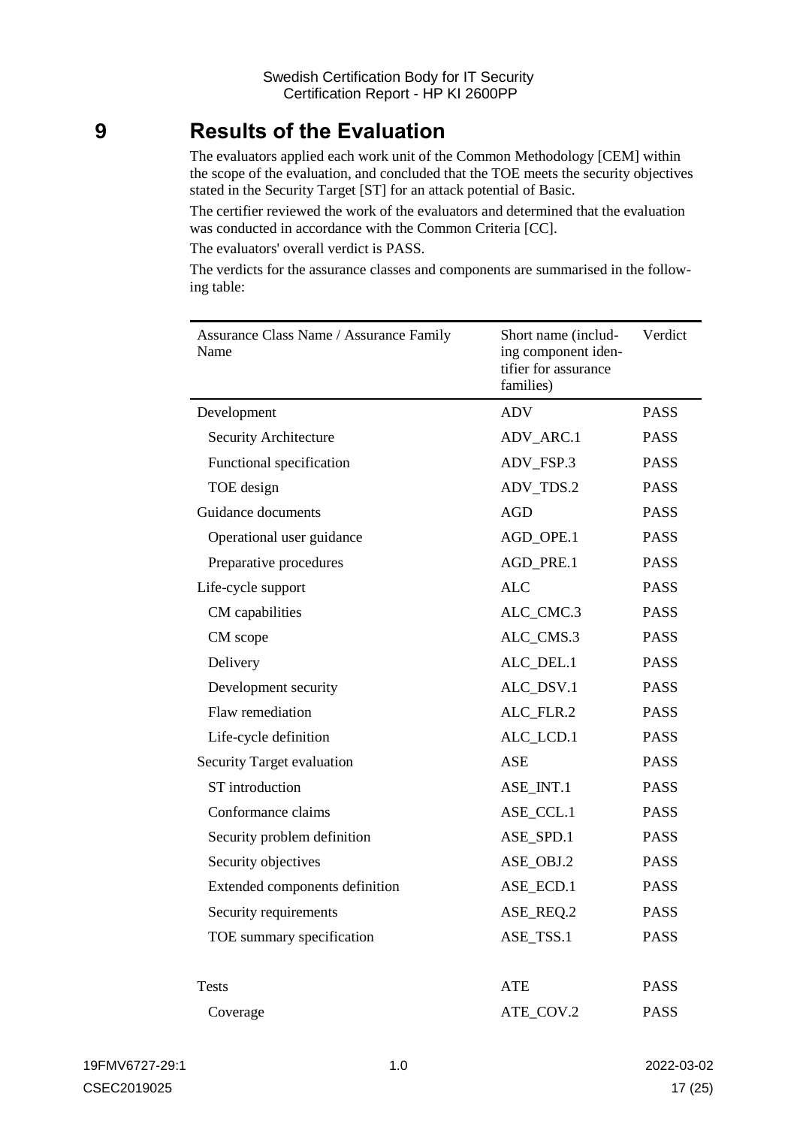## <span id="page-16-0"></span>**9 Results of the Evaluation**

The evaluators applied each work unit of the Common Methodology [CEM] within the scope of the evaluation, and concluded that the TOE meets the security objectives stated in the Security Target [ST] for an attack potential of Basic.

The certifier reviewed the work of the evaluators and determined that the evaluation was conducted in accordance with the Common Criteria [CC].

The evaluators' overall verdict is PASS.

The verdicts for the assurance classes and components are summarised in the following table:

| <b>Assurance Class Name / Assurance Family</b><br>Name | Short name (includ-<br>ing component iden-<br>tifier for assurance<br>families) | Verdict     |
|--------------------------------------------------------|---------------------------------------------------------------------------------|-------------|
| Development                                            | <b>ADV</b>                                                                      | <b>PASS</b> |
| Security Architecture                                  | ADV_ARC.1                                                                       | <b>PASS</b> |
| Functional specification                               | ADV_FSP.3                                                                       | <b>PASS</b> |
| TOE design                                             | ADV_TDS.2                                                                       | <b>PASS</b> |
| Guidance documents                                     | <b>AGD</b>                                                                      | <b>PASS</b> |
| Operational user guidance                              | AGD_OPE.1                                                                       | <b>PASS</b> |
| Preparative procedures                                 | AGD_PRE.1                                                                       | <b>PASS</b> |
| Life-cycle support                                     | <b>ALC</b>                                                                      | <b>PASS</b> |
| CM capabilities                                        | ALC_CMC.3                                                                       | <b>PASS</b> |
| CM scope                                               | ALC_CMS.3                                                                       | <b>PASS</b> |
| Delivery                                               | ALC_DEL.1                                                                       | <b>PASS</b> |
| Development security                                   | ALC_DSV.1                                                                       | <b>PASS</b> |
| Flaw remediation                                       | ALC_FLR.2                                                                       | <b>PASS</b> |
| Life-cycle definition                                  | ALC_LCD.1                                                                       | <b>PASS</b> |
| Security Target evaluation                             | ASE                                                                             | <b>PASS</b> |
| ST introduction                                        | ASE_INT.1                                                                       | <b>PASS</b> |
| Conformance claims                                     | ASE_CCL.1                                                                       | <b>PASS</b> |
| Security problem definition                            | ASE_SPD.1                                                                       | <b>PASS</b> |
| Security objectives                                    | ASE OBJ.2                                                                       | <b>PASS</b> |
| Extended components definition                         | ASE_ECD.1                                                                       | <b>PASS</b> |
| Security requirements                                  | ASE REQ.2                                                                       | <b>PASS</b> |
| TOE summary specification                              | ASE_TSS.1                                                                       | <b>PASS</b> |
|                                                        |                                                                                 |             |
| <b>Tests</b>                                           | <b>ATE</b>                                                                      | <b>PASS</b> |
| Coverage                                               | ATE_COV.2                                                                       | <b>PASS</b> |
|                                                        |                                                                                 |             |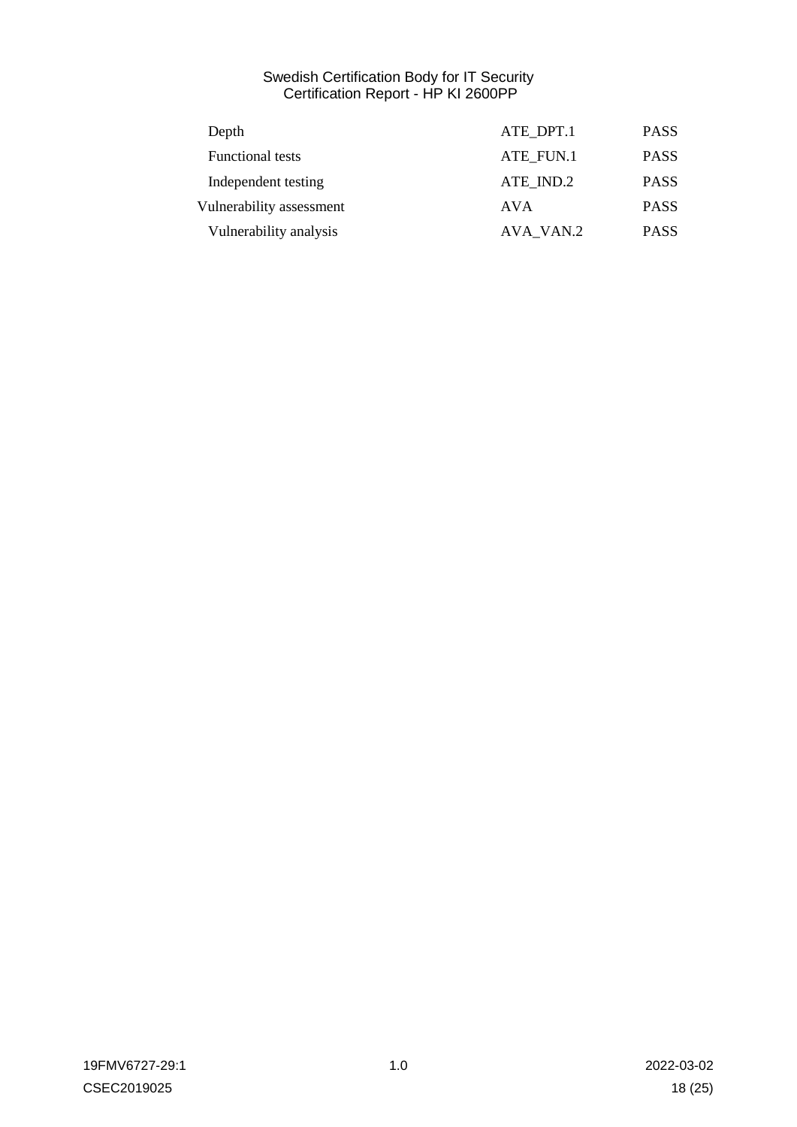| ATE DPT.1 | <b>PASS</b> |
|-----------|-------------|
| ATE FUN.1 | <b>PASS</b> |
| ATE IND.2 | <b>PASS</b> |
| AVA       | <b>PASS</b> |
| AVA VAN.2 | <b>PASS</b> |
|           |             |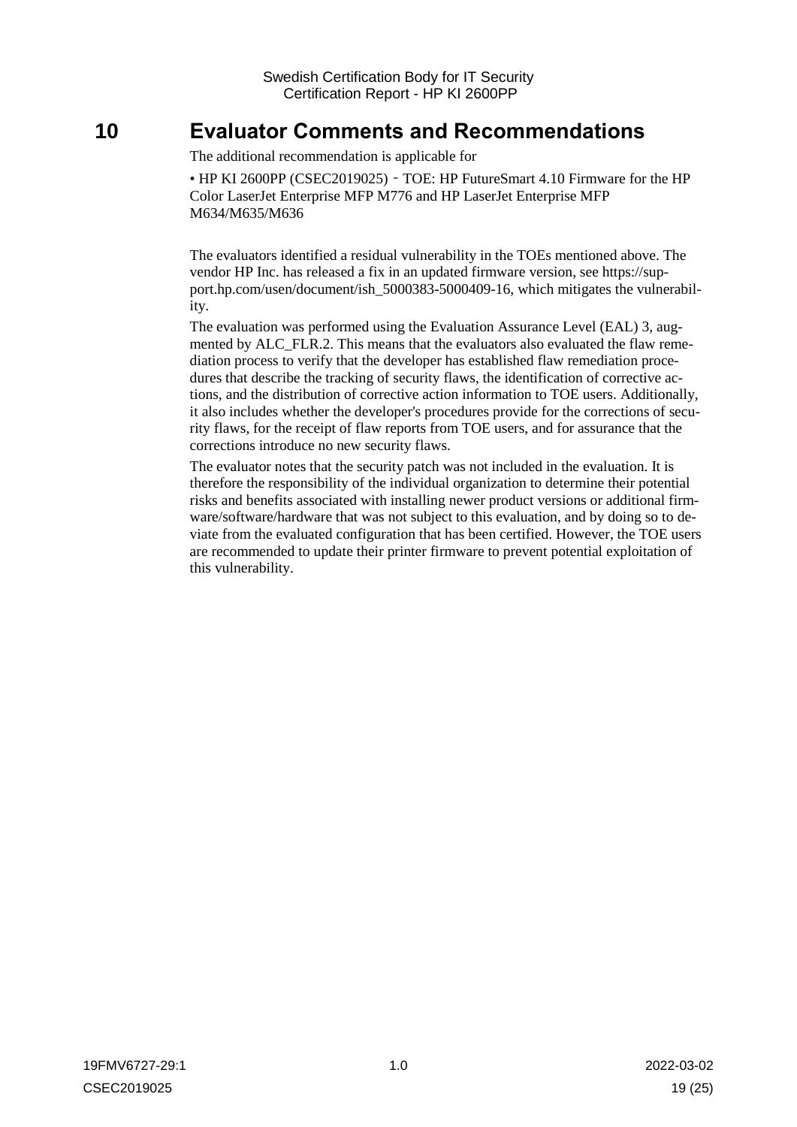## <span id="page-18-0"></span>**10 Evaluator Comments and Recommendations**

The additional recommendation is applicable for

• HP KI 2600PP (CSEC2019025) - TOE: HP FutureSmart 4.10 Firmware for the HP Color LaserJet Enterprise MFP M776 and HP LaserJet Enterprise MFP M634/M635/M636

The evaluators identified a residual vulnerability in the TOEs mentioned above. The vendor HP Inc. has released a fix in an updated firmware version, see https://support.hp.com/usen/document/ish 5000383-5000409-16, which mitigates the vulnerability.

The evaluation was performed using the Evaluation Assurance Level (EAL) 3, augmented by ALC\_FLR.2. This means that the evaluators also evaluated the flaw remediation process to verify that the developer has established flaw remediation procedures that describe the tracking of security flaws, the identification of corrective actions, and the distribution of corrective action information to TOE users. Additionally, it also includes whether the developer's procedures provide for the corrections of security flaws, for the receipt of flaw reports from TOE users, and for assurance that the corrections introduce no new security flaws.

The evaluator notes that the security patch was not included in the evaluation. It is therefore the responsibility of the individual organization to determine their potential risks and benefits associated with installing newer product versions or additional firmware/software/hardware that was not subject to this evaluation, and by doing so to deviate from the evaluated configuration that has been certified. However, the TOE users are recommended to update their printer firmware to prevent potential exploitation of this vulnerability.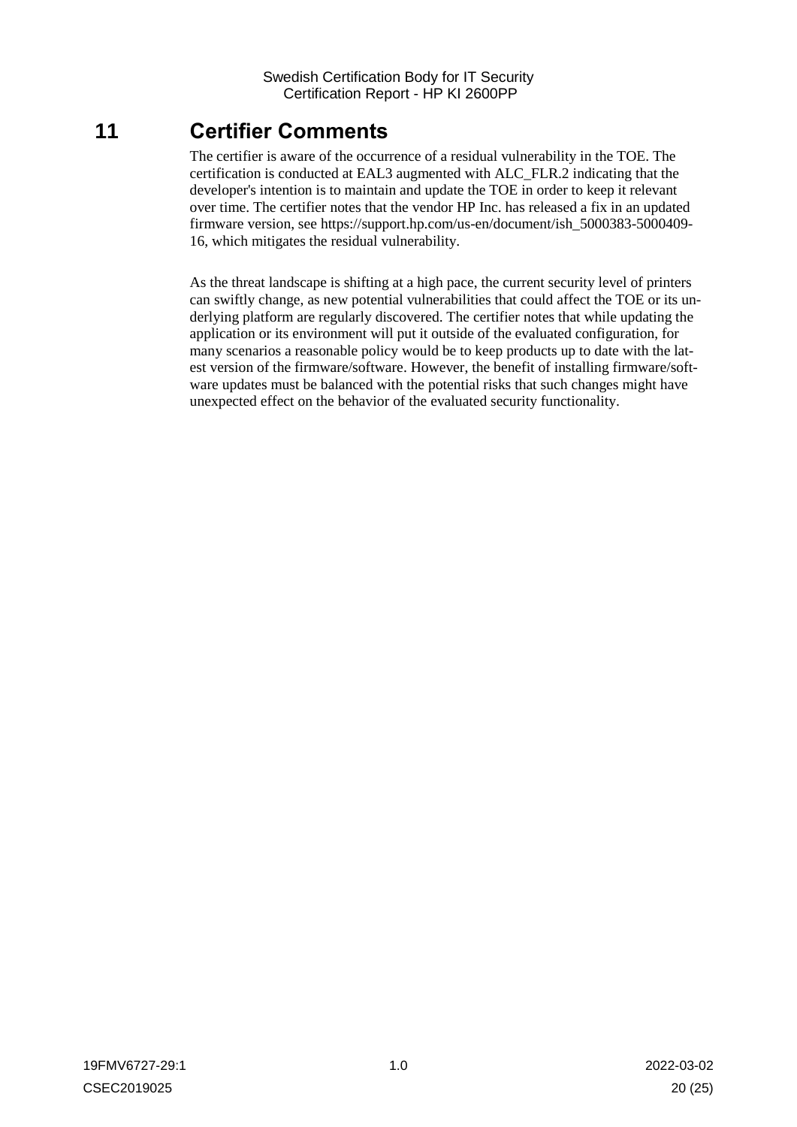## <span id="page-19-0"></span>**11 Certifier Comments**

The certifier is aware of the occurrence of a residual vulnerability in the TOE. The certification is conducted at EAL3 augmented with ALC\_FLR.2 indicating that the developer's intention is to maintain and update the TOE in order to keep it relevant over time. The certifier notes that the vendor HP Inc. has released a fix in an updated firmware version, see [https://support.hp.com/us-en/document/ish\\_5000383-5000409-](https://support.hp.com/us-en/document/ish_5000383-5000409-16) [16,](https://support.hp.com/us-en/document/ish_5000383-5000409-16) which mitigates the residual vulnerability.

As the threat landscape is shifting at a high pace, the current security level of printers can swiftly change, as new potential vulnerabilities that could affect the TOE or its underlying platform are regularly discovered. The certifier notes that while updating the application or its environment will put it outside of the evaluated configuration, for many scenarios a reasonable policy would be to keep products up to date with the latest version of the firmware/software. However, the benefit of installing firmware/software updates must be balanced with the potential risks that such changes might have unexpected effect on the behavior of the evaluated security functionality.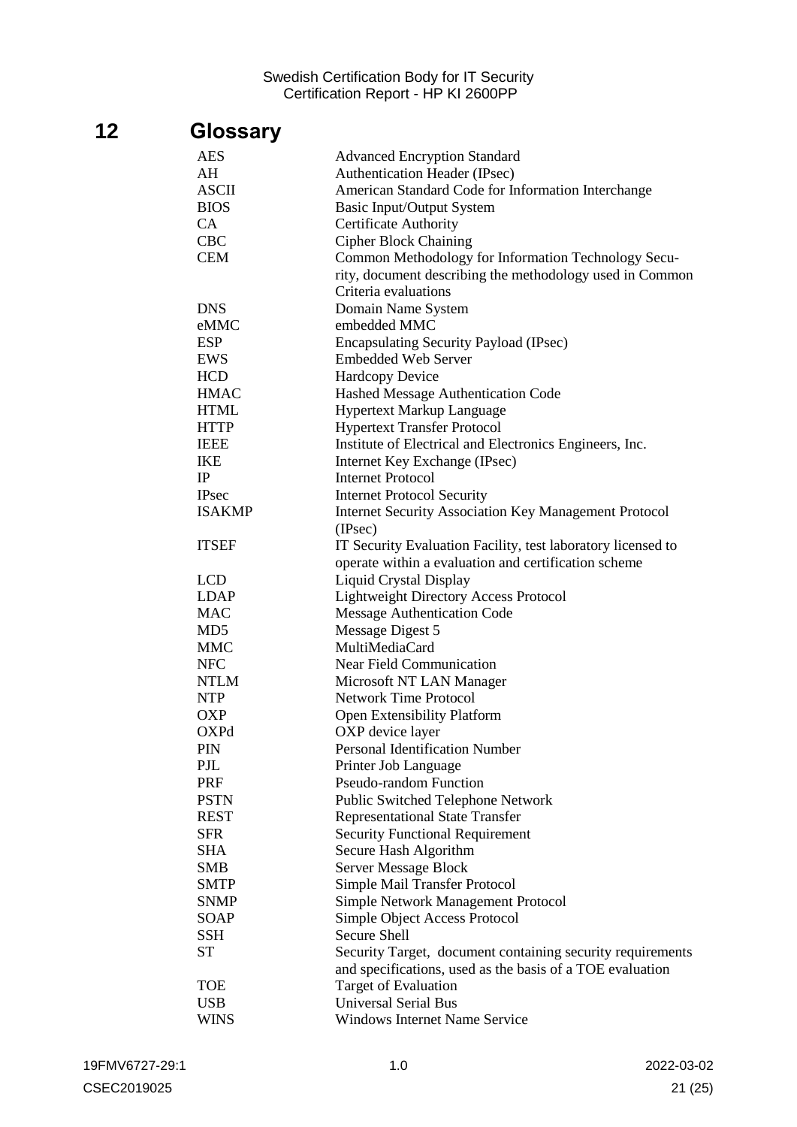# <span id="page-20-0"></span>**12 Glossary**

| <b>AES</b>      | <b>Advanced Encryption Standard</b>                          |
|-----------------|--------------------------------------------------------------|
| AH              | Authentication Header (IPsec)                                |
| <b>ASCII</b>    | American Standard Code for Information Interchange           |
| <b>BIOS</b>     | Basic Input/Output System                                    |
| CA              | <b>Certificate Authority</b>                                 |
| <b>CBC</b>      | <b>Cipher Block Chaining</b>                                 |
| <b>CEM</b>      | Common Methodology for Information Technology Secu-          |
|                 | rity, document describing the methodology used in Common     |
|                 | Criteria evaluations                                         |
| <b>DNS</b>      | Domain Name System                                           |
| eMMC            | embedded MMC                                                 |
| <b>ESP</b>      | <b>Encapsulating Security Payload (IPsec)</b>                |
| EWS             | <b>Embedded Web Server</b>                                   |
| <b>HCD</b>      | <b>Hardcopy Device</b>                                       |
| <b>HMAC</b>     | Hashed Message Authentication Code                           |
| <b>HTML</b>     | Hypertext Markup Language                                    |
| <b>HTTP</b>     | <b>Hypertext Transfer Protocol</b>                           |
| <b>IEEE</b>     | Institute of Electrical and Electronics Engineers, Inc.      |
| <b>IKE</b>      | Internet Key Exchange (IPsec)                                |
| IP              | <b>Internet Protocol</b>                                     |
| <b>IPsec</b>    | <b>Internet Protocol Security</b>                            |
| <b>ISAKMP</b>   | <b>Internet Security Association Key Management Protocol</b> |
|                 | (IPsec)                                                      |
| <b>ITSEF</b>    | IT Security Evaluation Facility, test laboratory licensed to |
|                 | operate within a evaluation and certification scheme         |
| <b>LCD</b>      | <b>Liquid Crystal Display</b>                                |
| <b>LDAP</b>     | <b>Lightweight Directory Access Protocol</b>                 |
| <b>MAC</b>      | Message Authentication Code                                  |
| MD <sub>5</sub> | Message Digest 5                                             |
| <b>MMC</b>      | MultiMediaCard                                               |
| <b>NFC</b>      | <b>Near Field Communication</b>                              |
| <b>NTLM</b>     | Microsoft NT LAN Manager                                     |
| <b>NTP</b>      | <b>Network Time Protocol</b>                                 |
| <b>OXP</b>      | <b>Open Extensibility Platform</b>                           |
| OXPd            | OXP device layer                                             |
| PIN             | <b>Personal Identification Number</b>                        |
| PJL             | Printer Job Language                                         |
| PRF             | <b>Pseudo-random Function</b>                                |
| <b>PSTN</b>     | Public Switched Telephone Network                            |
| <b>REST</b>     | <b>Representational State Transfer</b>                       |
| <b>SFR</b>      | <b>Security Functional Requirement</b>                       |
| <b>SHA</b>      | Secure Hash Algorithm                                        |
| <b>SMB</b>      | <b>Server Message Block</b>                                  |
| <b>SMTP</b>     | Simple Mail Transfer Protocol                                |
| <b>SNMP</b>     | Simple Network Management Protocol                           |
| <b>SOAP</b>     | Simple Object Access Protocol                                |
| <b>SSH</b>      | <b>Secure Shell</b>                                          |
| <b>ST</b>       | Security Target, document containing security requirements   |
|                 | and specifications, used as the basis of a TOE evaluation    |
| <b>TOE</b>      | Target of Evaluation                                         |
| <b>USB</b>      | <b>Universal Serial Bus</b>                                  |
| <b>WINS</b>     | <b>Windows Internet Name Service</b>                         |
|                 |                                                              |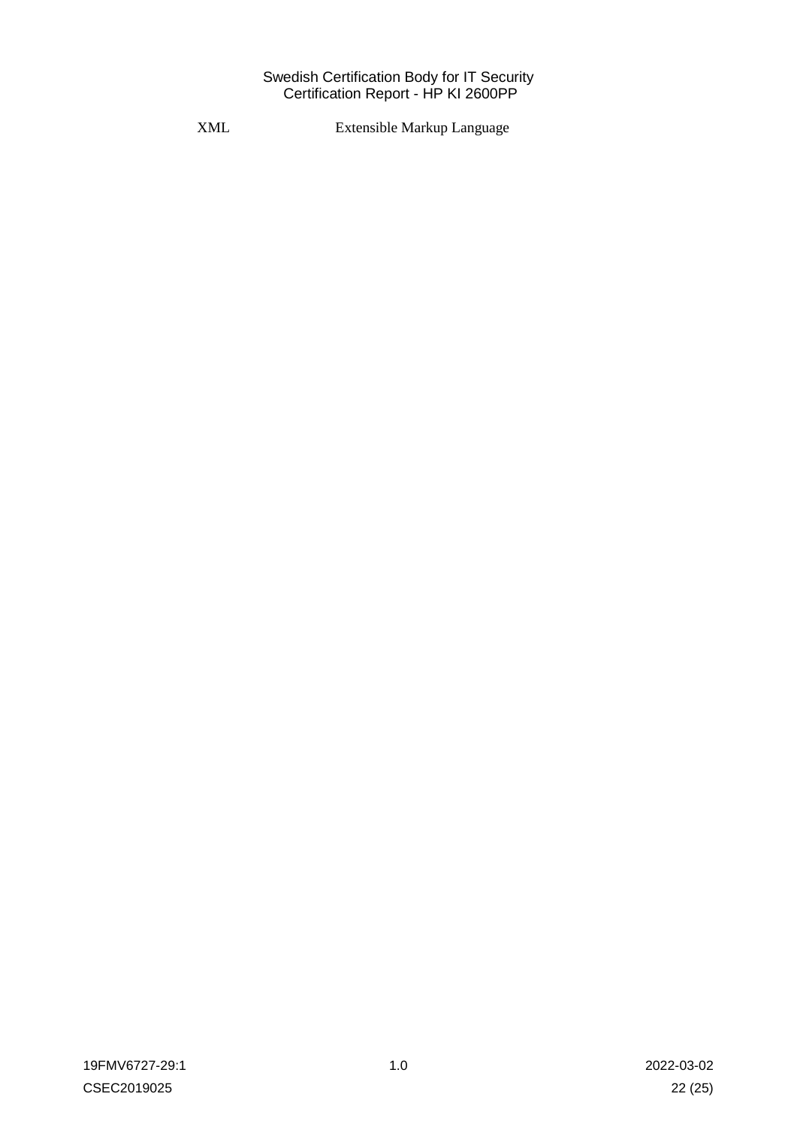XML Extensible Markup Language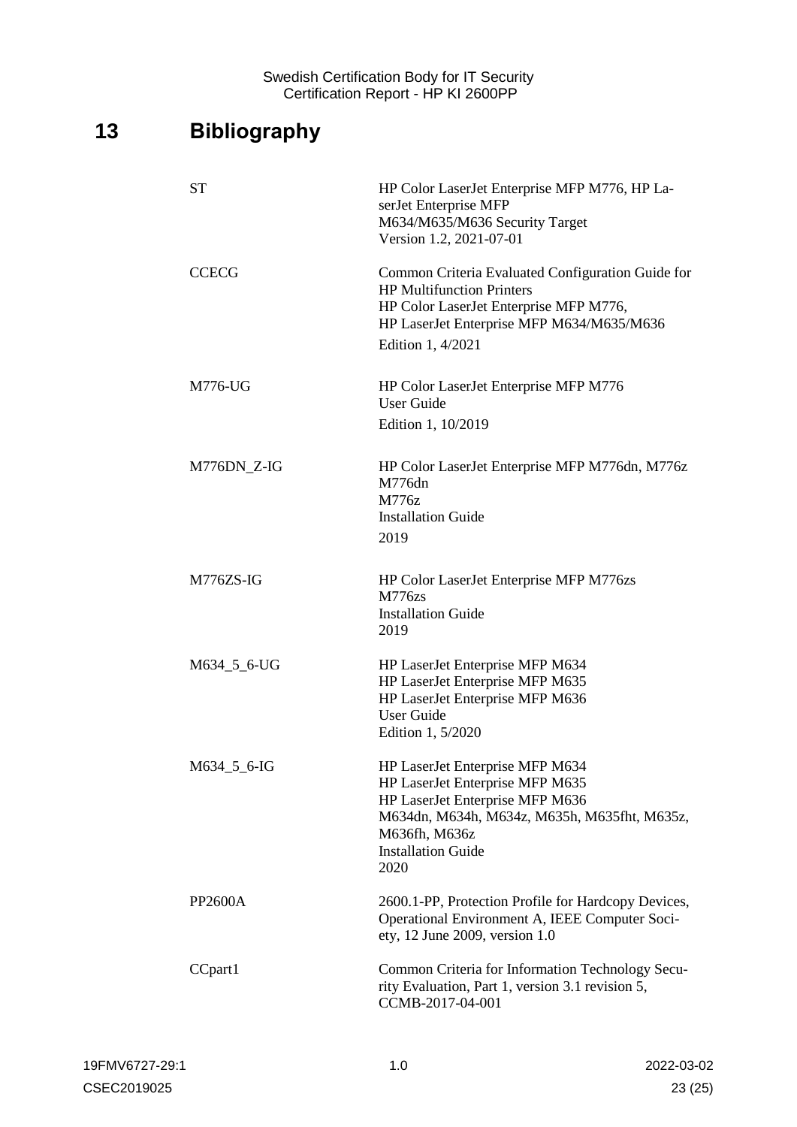# <span id="page-22-0"></span>**13 Bibliography**

| <b>ST</b>      | HP Color LaserJet Enterprise MFP M776, HP La-<br>serJet Enterprise MFP<br>M634/M635/M636 Security Target<br>Version 1.2, 2021-07-01                                                                         |
|----------------|-------------------------------------------------------------------------------------------------------------------------------------------------------------------------------------------------------------|
| <b>CCECG</b>   | Common Criteria Evaluated Configuration Guide for<br><b>HP Multifunction Printers</b><br>HP Color LaserJet Enterprise MFP M776,<br>HP LaserJet Enterprise MFP M634/M635/M636<br>Edition 1, 4/2021           |
| M776-UG        | HP Color LaserJet Enterprise MFP M776<br><b>User Guide</b><br>Edition 1, 10/2019                                                                                                                            |
| M776DN_Z-IG    | HP Color LaserJet Enterprise MFP M776dn, M776z<br>M776dn<br>M776z<br><b>Installation Guide</b><br>2019                                                                                                      |
| M776ZS-IG      | HP Color LaserJet Enterprise MFP M776zs<br><b>M776zs</b><br><b>Installation Guide</b><br>2019                                                                                                               |
| M634_5_6-UG    | HP LaserJet Enterprise MFP M634<br>HP LaserJet Enterprise MFP M635<br>HP LaserJet Enterprise MFP M636<br><b>User Guide</b><br>Edition 1, 5/2020                                                             |
| M634_5_6-IG    | HP LaserJet Enterprise MFP M634<br>HP LaserJet Enterprise MFP M635<br>HP LaserJet Enterprise MFP M636<br>M634dn, M634h, M634z, M635h, M635fht, M635z,<br>M636fh, M636z<br><b>Installation Guide</b><br>2020 |
| <b>PP2600A</b> | 2600.1-PP, Protection Profile for Hardcopy Devices,<br>Operational Environment A, IEEE Computer Soci-<br>ety, 12 June 2009, version 1.0                                                                     |
| CCpart1        | Common Criteria for Information Technology Secu-<br>rity Evaluation, Part 1, version 3.1 revision 5,<br>CCMB-2017-04-001                                                                                    |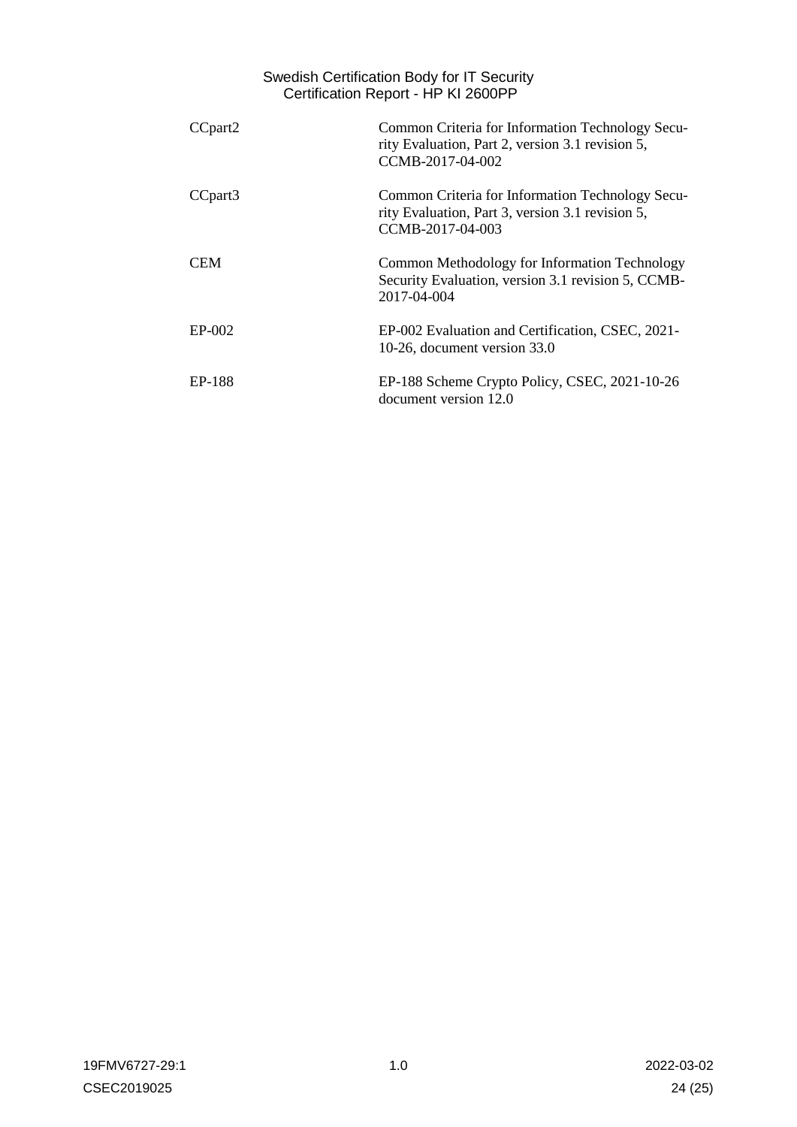|                     | Swedish Certification Body for IT Security<br>Certification Report - HP KI 2600PP                                        |
|---------------------|--------------------------------------------------------------------------------------------------------------------------|
| CCpart <sub>2</sub> | Common Criteria for Information Technology Secu-<br>rity Evaluation, Part 2, version 3.1 revision 5,<br>CCMB-2017-04-002 |
| CCpart <sub>3</sub> | Common Criteria for Information Technology Secu-<br>rity Evaluation, Part 3, version 3.1 revision 5,<br>CCMB-2017-04-003 |
| <b>CEM</b>          | Common Methodology for Information Technology<br>Security Evaluation, version 3.1 revision 5, CCMB-<br>2017-04-004       |
| $EP-002$            | EP-002 Evaluation and Certification, CSEC, 2021-<br>10-26, document version 33.0                                         |
| EP-188              | EP-188 Scheme Crypto Policy, CSEC, 2021-10-26<br>document version 12.0                                                   |